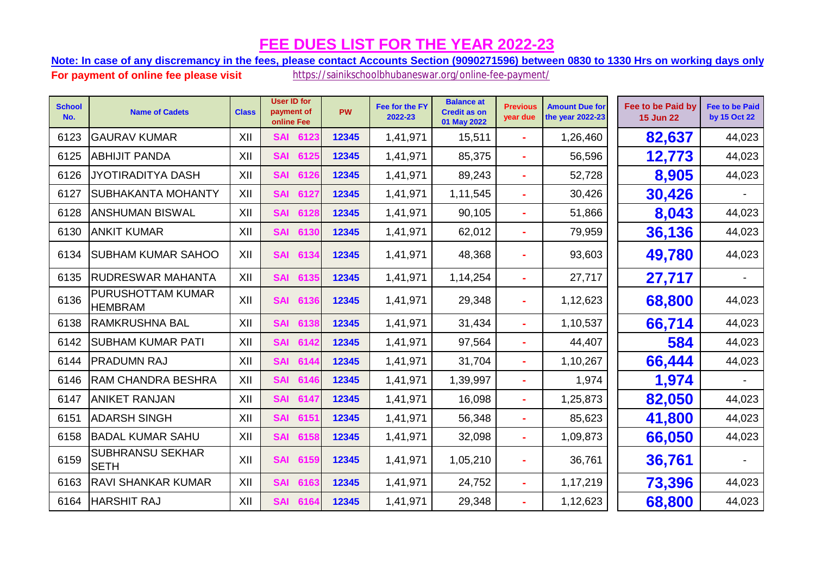## **FEE DUES LIST FOR THE YEAR 2022-23**

**Note: In case of any discremancy in the fees, please contact Accounts Section (9090271596) between 0830 to 1330 Hrs on working days only.**

**For payment of online fee please visit** https://sainikschoolbhubaneswar.org/online-fee-payment/

| <b>School</b><br>No. | <b>Name of Cadets</b>                  | <b>Class</b> | <b>User ID for</b><br>payment of<br>online Fee | <b>PW</b> | Fee for the FY<br>2022-23 | <b>Balance at</b><br><b>Credit as on</b><br>01 May 2022 | <b>Previous</b><br>year due | <b>Amount Due for</b><br>the year 2022-23 | Fee to be Paid by<br><b>15 Jun 22</b> | <b>Fee to be Paid</b><br>by 15 Oct 22 |
|----------------------|----------------------------------------|--------------|------------------------------------------------|-----------|---------------------------|---------------------------------------------------------|-----------------------------|-------------------------------------------|---------------------------------------|---------------------------------------|
| 6123                 | <b>GAURAV KUMAR</b>                    | XII          | 6123<br><b>SAI</b>                             | 12345     | 1,41,971                  | 15,511                                                  | ÷.                          | 1,26,460                                  | 82,637                                | 44,023                                |
| 6125                 | <b>ABHIJIT PANDA</b>                   | XII          | <b>SAI</b><br>6125                             | 12345     | 1,41,971                  | 85,375                                                  | $\blacksquare$              | 56,596                                    | 12,773                                | 44,023                                |
| 6126                 | <b>JYOTIRADITYA DASH</b>               | XII          | <b>SAI</b><br>6126                             | 12345     | 1,41,971                  | 89,243                                                  | $\sim$                      | 52,728                                    | 8,905                                 | 44,023                                |
| 6127                 | <b>SUBHAKANTA MOHANTY</b>              | XII          | <b>SAI</b><br>6127                             | 12345     | 1,41,971                  | 1,11,545                                                | ÷.                          | 30,426                                    | 30,426                                |                                       |
| 6128                 | <b>ANSHUMAN BISWAL</b>                 | XII          | <b>SAI</b><br>6128                             | 12345     | 1,41,971                  | 90,105                                                  |                             | 51,866                                    | 8,043                                 | 44,023                                |
| 6130                 | <b>ANKIT KUMAR</b>                     | XII          | <b>SAI</b><br>6130                             | 12345     | 1,41,971                  | 62,012                                                  | ÷.                          | 79,959                                    | 36,136                                | 44,023                                |
| 6134                 | <b>SUBHAM KUMAR SAHOO</b>              | XII          | <b>SAI</b><br>6134                             | 12345     | 1,41,971                  | 48,368                                                  | $\sim$                      | 93,603                                    | 49,780                                | 44,023                                |
| 6135                 | <b>RUDRESWAR MAHANTA</b>               | XII          | <b>SAI</b><br>6135                             | 12345     | 1,41,971                  | 1,14,254                                                |                             | 27,717                                    | 27,717                                |                                       |
| 6136                 | PURUSHOTTAM KUMAR<br><b>HEMBRAM</b>    | XII          | <b>SAI</b><br>6136                             | 12345     | 1,41,971                  | 29,348                                                  | $\sim$                      | 1,12,623                                  | 68,800                                | 44,023                                |
| 6138                 | <b>RAMKRUSHNA BAL</b>                  | XII          | <b>SAI</b><br>6138                             | 12345     | 1,41,971                  | 31,434                                                  | ÷.                          | 1,10,537                                  | 66,714                                | 44,023                                |
| 6142                 | <b>SUBHAM KUMAR PATI</b>               | XII          | <b>SAI</b><br>6142                             | 12345     | 1,41,971                  | 97,564                                                  | ÷                           | 44,407                                    | 584                                   | 44,023                                |
| 6144                 | <b>PRADUMN RAJ</b>                     | XII          | <b>SAI</b><br>6144                             | 12345     | 1,41,971                  | 31,704                                                  | ÷.                          | 1,10,267                                  | 66,444                                | 44,023                                |
| 6146                 | <b>RAM CHANDRA BESHRA</b>              | XII          | <b>SAI</b><br>6146                             | 12345     | 1,41,971                  | 1,39,997                                                | ٠                           | 1,974                                     | 1,974                                 |                                       |
| 6147                 | <b>ANIKET RANJAN</b>                   | XII          | <b>SAI</b><br>6147                             | 12345     | 1,41,971                  | 16,098                                                  | ÷                           | 1,25,873                                  | 82,050                                | 44,023                                |
| 6151                 | <b>ADARSH SINGH</b>                    | XII          | <b>SAI</b><br>6151                             | 12345     | 1,41,971                  | 56,348                                                  | $\sim$                      | 85,623                                    | 41,800                                | 44,023                                |
| 6158                 | <b>BADAL KUMAR SAHU</b>                | XII          | <b>SAI</b><br>6158                             | 12345     | 1,41,971                  | 32,098                                                  | ÷.                          | 1,09,873                                  | 66,050                                | 44,023                                |
| 6159                 | <b>SUBHRANSU SEKHAR</b><br><b>SETH</b> | XII          | <b>SAI</b><br>6159                             | 12345     | 1,41,971                  | 1,05,210                                                | $\sim$                      | 36,761                                    | 36,761                                |                                       |
| 6163                 | <b>RAVI SHANKAR KUMAR</b>              | XII          | <b>SAI</b><br>6163                             | 12345     | 1,41,971                  | 24,752                                                  | ۰                           | 1,17,219                                  | 73,396                                | 44,023                                |
| 6164                 | <b>HARSHIT RAJ</b>                     | XII          | <b>SAI</b><br>6164                             | 12345     | 1,41,971                  | 29,348                                                  |                             | 1,12,623                                  | 68,800                                | 44,023                                |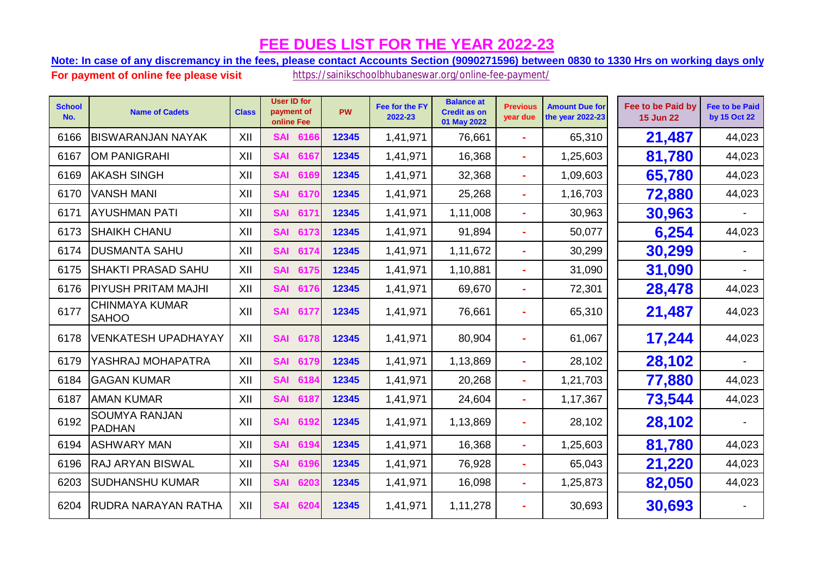## **FEE DUES LIST FOR THE YEAR 2022-23**

**Note: In case of any discremancy in the fees, please contact Accounts Section (9090271596) between 0830 to 1330 Hrs on working days only.**

**For payment of online fee please visit** https://sainikschoolbhubaneswar.org/online-fee-payment/

| <b>School</b><br>No. | <b>Name of Cadets</b>                 | <b>Class</b> | <b>User ID for</b><br>payment of<br>online Fee | <b>PW</b> | Fee for the FY<br>2022-23 | <b>Balance at</b><br><b>Credit as on</b><br>01 May 2022 | <b>Previous</b><br>year due | <b>Amount Due for</b><br>the year 2022-23 | Fee to be Paid by<br><b>15 Jun 22</b> | <b>Fee to be Paid</b><br>by 15 Oct 22 |
|----------------------|---------------------------------------|--------------|------------------------------------------------|-----------|---------------------------|---------------------------------------------------------|-----------------------------|-------------------------------------------|---------------------------------------|---------------------------------------|
| 6166                 | <b>BISWARANJAN NAYAK</b>              | XII          | <b>SAI 6166</b>                                | 12345     | 1,41,971                  | 76,661                                                  | ÷.                          | 65,310                                    | 21,487                                | 44,023                                |
| 6167                 | <b>OM PANIGRAHI</b>                   | XII          | <b>SAI</b><br>6167                             | 12345     | 1,41,971                  | 16,368                                                  | ÷.                          | 1,25,603                                  | 81,780                                | 44,023                                |
| 6169                 | <b>AKASH SINGH</b>                    | XII          | <b>SAI</b><br>6169                             | 12345     | 1,41,971                  | 32,368                                                  |                             | 1,09,603                                  | 65,780                                | 44,023                                |
| 6170                 | <b>VANSH MANI</b>                     | XII          | <b>SAI</b><br>6170                             | 12345     | 1,41,971                  | 25,268                                                  | ÷.                          | 1,16,703                                  | 72,880                                | 44,023                                |
| 6171                 | <b>AYUSHMAN PATI</b>                  | XII          | <b>SAI</b><br>617'                             | 12345     | 1,41,971                  | 1,11,008                                                | ÷.                          | 30,963                                    | 30,963                                |                                       |
| 6173                 | <b>SHAIKH CHANU</b>                   | XII          | <b>SAI</b><br>6173                             | 12345     | 1,41,971                  | 91,894                                                  | $\blacksquare$              | 50,077                                    | 6,254                                 | 44,023                                |
| 6174                 | <b>DUSMANTA SAHU</b>                  | XII          | <b>SAI</b><br>6174                             | 12345     | 1,41,971                  | 1,11,672                                                | ٠                           | 30,299                                    | 30,299                                |                                       |
| 6175                 | <b>SHAKTI PRASAD SAHU</b>             | XII          | <b>SAI</b><br>6175                             | 12345     | 1,41,971                  | 1,10,881                                                | ÷.                          | 31,090                                    | 31,090                                |                                       |
| 6176                 | <b>PIYUSH PRITAM MAJHI</b>            | XII          | <b>SAI</b><br>6176                             | 12345     | 1,41,971                  | 69,670                                                  | $\sim$                      | 72,301                                    | 28,478                                | 44,023                                |
| 6177                 | <b>CHINMAYA KUMAR</b><br><b>SAHOO</b> | XII          | 6177<br><b>SAI</b>                             | 12345     | 1,41,971                  | 76,661                                                  |                             | 65,310                                    | 21,487                                | 44,023                                |
| 6178                 | <b>VENKATESH UPADHAYAY</b>            | XII          | <b>SAI</b><br>6178                             | 12345     | 1,41,971                  | 80,904                                                  | ٠                           | 61,067                                    | 17,244                                | 44,023                                |
| 6179                 | YASHRAJ MOHAPATRA                     | XII          | <b>SAI</b><br>6179                             | 12345     | 1,41,971                  | 1,13,869                                                | ÷                           | 28,102                                    | 28,102                                |                                       |
| 6184                 | <b>GAGAN KUMAR</b>                    | XII          | <b>SAI</b><br>6184                             | 12345     | 1,41,971                  | 20,268                                                  | $\sim$                      | 1,21,703                                  | 77,880                                | 44,023                                |
| 6187                 | <b>AMAN KUMAR</b>                     | XII          | <b>SAI</b><br>6187                             | 12345     | 1,41,971                  | 24,604                                                  | ÷                           | 1,17,367                                  | 73,544                                | 44,023                                |
| 6192                 | SOUMYA RANJAN<br><b>PADHAN</b>        | XII          | <b>SAI 6192</b>                                | 12345     | 1,41,971                  | 1,13,869                                                | ۰                           | 28,102                                    | 28,102                                |                                       |
| 6194                 | <b>ASHWARY MAN</b>                    | XII          | <b>SAI</b><br>6194                             | 12345     | 1,41,971                  | 16,368                                                  | ÷.                          | 1,25,603                                  | 81,780                                | 44,023                                |
| 6196                 | <b>RAJ ARYAN BISWAL</b>               | XII          | <b>SAI</b><br>6196                             | 12345     | 1,41,971                  | 76,928                                                  | ÷                           | 65,043                                    | 21,220                                | 44,023                                |
| 6203                 | <b>SUDHANSHU KUMAR</b>                | XII          | <b>SAI</b><br>6203                             | 12345     | 1,41,971                  | 16,098                                                  | ÷                           | 1,25,873                                  | 82,050                                | 44,023                                |
| 6204                 | RUDRA NARAYAN RATHA                   | XII          | <b>SAI</b><br>6204                             | 12345     | 1,41,971                  | 1,11,278                                                |                             | 30,693                                    | 30,693                                |                                       |